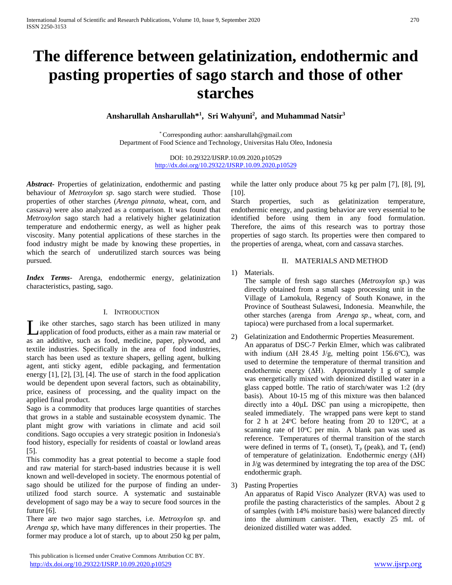# **The difference between gelatinization, endothermic and pasting properties of sago starch and those of other starches**

**Ansharullah Ansharullah\* 1 , Sri Wahyuni<sup>2</sup> , and Muhammad Natsir<sup>3</sup>**

\* Corresponding author: aansharullah@gmail.com Department of Food Science and Technology, Universitas Halu Oleo, Indonesia

> DOI: 10.29322/IJSRP.10.09.2020.p10529 <http://dx.doi.org/10.29322/IJSRP.10.09.2020.p10529>

*Abstract***-** Properties of gelatinization, endothermic and pasting behaviour of *Metroxylon sp*. sago starch were studied. Those properties of other starches (*Arenga pinnata*, wheat, corn, and cassava) were also analyzed as a comparison. It was found that *Metroxylon* sago starch had a relatively higher gelatinization temperature and endothermic energy, as well as higher peak viscosity. Many potential applications of these starches in the food industry might be made by knowing these properties, in which the search of underutilized starch sources was being pursued.

*Index Terms*- Arenga, endothermic energy, gelatinization characteristics, pasting, sago.

### I. INTRODUCTION

ike other starches, sago starch has been utilized in many application of food products, either as a main raw material or Let us the starches, sago starch has been utilized in many application of food products, either as a main raw material or as an additive, such as food, medicine, paper, plywood, and textile industries. Specifically in the area of food industries, starch has been used as texture shapers, gelling agent, bulking agent, anti sticky agent, edible packaging, and fermentation energy [1], [2], [3], [4]. The use of starch in the food application would be dependent upon several factors, such as obtainability, price, easiness of processing, and the quality impact on the applied final product.

Sago is a commodity that produces large quantities of starches that grows in a stable and sustainable ecosystem dynamic. The plant might grow with variations in climate and acid soil conditions. Sago occupies a very strategic position in Indonesia's food history, especially for residents of coastal or lowland areas [5].

This commodity has a great potential to become a staple food and raw material for starch-based industries because it is well known and well-developed in society. The enormous potential of sago should be utilized for the purpose of finding an underutilized food starch source. A systematic and sustainable development of sago may be a way to secure food sources in the future [6].

There are two major sago starches, i.e. *Metroxylon sp*. and *Arenga sp*, which have many differences in their properties. The former may produce a lot of starch, up to about 250 kg per palm, while the latter only produce about 75 kg per palm [7], [8], [9], [10].

Starch properties, such as gelatinization temperature, endothermic energy, and pasting behavior are very essential to be identified before using them in any food formulation. Therefore, the aims of this research was to portray those properties of sago starch. Its properties were then compared to the properties of arenga, wheat, corn and cassava starches.

## II. MATERIALS AND METHOD

## 1) Materials.

The sample of fresh sago starches (*Metroxylon sp*.) was directly obtained from a small sago processing unit in the Village of Lamokula, Regency of South Konawe, in the Province of Southeast Sulawesi, Indonesia. Meanwhile, the other starches (arenga from *Arenga sp*., wheat, corn, and tapioca) were purchased from a local supermarket.

- 2) Gelatinization and Endothermic Properties Measurement. An apparatus of DSC-7 Perkin Elmer, which was calibrated with indium ( $\Delta H$  28.45 J/g, melting point 156.6°C), was used to determine the temperature of thermal transition and endothermic energy (∆H). Approximately 1 g of sample was energetically mixed with deionized distilled water in a glass capped bottle. The ratio of starch/water was 1:2 (dry basis). About 10-15 mg of this mixture was then balanced directly into a 40μL DSC pan using a micropipette, then sealed immediately. The wrapped pans were kept to stand for 2 h at  $24^{\circ}$ C before heating from 20 to 120 $^{\circ}$ C, at a scanning rate of 10°C per min. A blank pan was used as reference. Temperatures of thermal transition of the starch were defined in terms of  $T_0$  (onset),  $T_p$  (peak), and  $T_e$  (end) of temperature of gelatinization. Endothermic energy (∆H) in J/g was determined by integrating the top area of the DSC endothermic graph.
- 3) Pasting Properties

An apparatus of Rapid Visco Analyzer (RVA) was used to profile the pasting characteristics of the samples. About 2 g of samples (with 14% moisture basis) were balanced directly into the aluminum canister. Then, exactly 25 mL of deionized distilled water was added.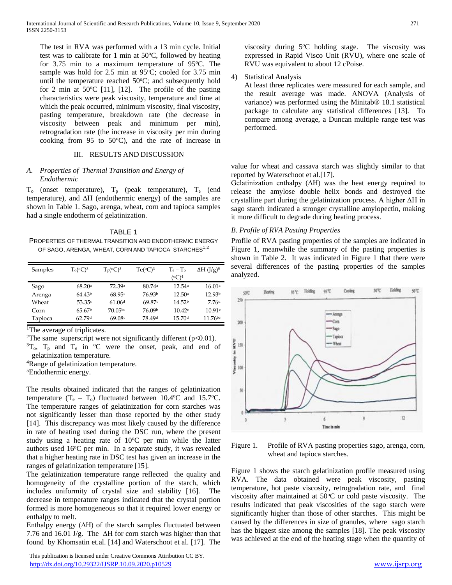The test in RVA was performed with a 13 min cycle. Initial test was to calibrate for 1 min at  $50^{\circ}$ C, followed by heating for  $3.75$  min to a maximum temperature of  $95^{\circ}$ C. The sample was hold for  $2.5$  min at  $95^{\circ}$ C; cooled for  $3.75$  min until the temperature reached  $50^{\circ}$ C; and subsequently hold for 2 min at 50 $°C$  [11], [12]. The profile of the pasting characteristics were peak viscosity, temperature and time at which the peak occurred, minimum viscosity, final viscosity, pasting temperature, breakdown rate (the decrease in viscosity between peak and minimum per min), retrogradation rate (the increase in viscosity per min during cooking from 95 to  $50^{\circ}$ C), and the rate of increase in

# III. RESULTS AND DISCUSSION

### *A. Properties of Thermal Transition and Energy of Endothermic*

 $T_o$  (onset temperature),  $T_p$  (peak temperature),  $T_e$  (end temperature), and ∆H (endothermic energy) of the samples are shown in Table 1. Sago, arenga, wheat, corn and tapioca samples had a single endotherm of gelatinization.

TABLE 1 PROPERTIES OF THERMAL TRANSITION AND ENDOTHERMIC ENERGY OF SAGO, ARENGA, WHEAT, CORN AND TAPIOCA STARCHES<sup>1,2</sup>

| Samples | $T0(0C)3$          | $T_p({}^{\circ}C)^3$ | $Te({}^{\circ}C)^3$ | $T_e - T_o$        | $\Delta H$ (J/g) <sup>5</sup> |
|---------|--------------------|----------------------|---------------------|--------------------|-------------------------------|
|         |                    |                      |                     | $({}^{\circ}C)^4$  |                               |
| Sago    | 68.20a             | 72.39a               | 80.74 <sup>a</sup>  | 12.54a             | 16.01a                        |
| Arenga  | 64.43 <sup>b</sup> | 68.95c               | 76.93b              | 12.50a             | 12.93 <sup>b</sup>            |
| Wheat   | 53.35c             | 61.06 <sup>d</sup>   | 69.87c              | 14.52 <sup>b</sup> | 7.76d                         |
| Corn    | 65.67 <sup>b</sup> | 70.05 <sup>bc</sup>  | 76.09b              | 10.42c             | 10.91c                        |
| Tapioca | 62.79d             | 69.08 <sup>c</sup>   | 78.49 <sup>d</sup>  | 15.70 <sup>d</sup> | $11.76^{bc}$                  |

<sup>1</sup>The average of triplicates.

<sup>2</sup>The same superscript were not significantly different ( $p$ <0.01).  ${}^{3}T_{0}$ ,  $T_{p}$  and  $T_{e}$  in  ${}^{0}C$  were the onset, peak, and end of

gelatinization temperature.

<sup>4</sup>Range of gelatinization temperature.

<sup>5</sup>Endothermic energy.

The results obtained indicated that the ranges of gelatinization temperature  $(T_e - T_o)$  fluctuated between 10.4°C and 15.7°C. The temperature ranges of gelatinization for corn starches was not significantly lesser than those reported by the other study [14]. This discrepancy was most likely caused by the difference in rate of heating used during the DSC run, where the present study using a heating rate of  $10^{\circ}$ C per min while the latter authors used 16°C per min. In a separate study, it was revealed that a higher heating rate in DSC test has given an increase in the ranges of gelatinization temperature [15].

The gelatinization temperature range reflected the quality and homogeneity of the crystalline portion of the starch, which includes uniformity of crystal size and stability [16]. The decrease in temperature ranges indicated that the crystal portion formed is more homogeneous so that it required lower energy or enthalpy to melt.

Enthalpy energy (∆H) of the starch samples fluctuated between 7.76 and 16.01 J/g. The ∆H for corn starch was higher than that found by Khomsatin et.al. [14] and Waterschoot et al. [17]. The

 This publication is licensed under Creative Commons Attribution CC BY. <http://dx.doi.org/10.29322/IJSRP.10.09.2020.p10529> [www.ijsrp.org](http://ijsrp.org/)

viscosity during 5°C holding stage. The viscosity was expressed in Rapid Visco Unit (RVU), where one scale of RVU was equivalent to about 12 cPoise.

4) Statistical Analysis

At least three replicates were measured for each sample, and the result average was made. ANOVA (Analysis of variance) was performed using the Minitab® 18.1 statistical package to calculate any statistical differences [13]. To compare among average, a Duncan multiple range test was performed.

value for wheat and cassava starch was slightly similar to that reported by Waterschoot et al.[17].

Gelatinization enthalpy (ΔH) was the heat energy required to release the amylose double helix bonds and destroyed the crystalline part during the gelatinization process. A higher ΔH in sago starch indicated a stronger crystalline amylopectin, making it more difficult to degrade during heating process.

## *B. Profile of RVA Pasting Properties*

Profile of RVA pasting properties of the samples are indicated in Figure 1, meanwhile the summary of the pasting properties is shown in Table 2. It was indicated in Figure 1 that there were several differences of the pasting properties of the samples analyzed.



Figure 1. Profile of RVA pasting properties sago, arenga, corn, wheat and tapioca starches.

Figure 1 shows the starch gelatinization profile measured using RVA. The data obtained were peak viscosity, pasting temperature, hot paste viscosity, retrogradation rate, and final viscosity after maintained at  $50^{\circ}$ C or cold paste viscosity. The results indicated that peak viscosities of the sago starch were significantly higher than those of other starches. This might be caused by the differences in size of granules, where sago starch has the biggest size among the samples [18]. The peak viscosity was achieved at the end of the heating stage when the quantity of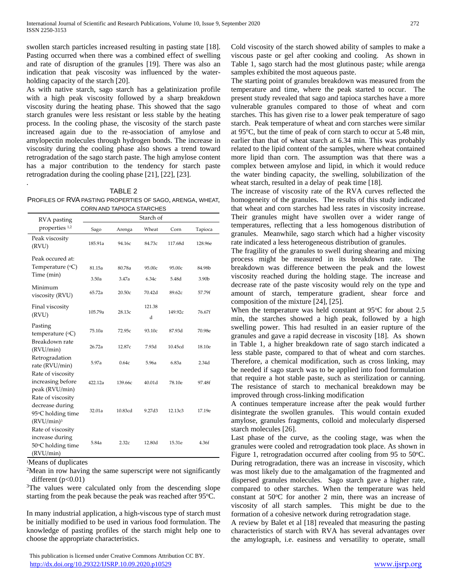swollen starch particles increased resulting in pasting state [18]. Pasting occurred when there was a combined effect of swelling and rate of disruption of the granules [19]. There was also an indication that peak viscosity was influenced by the waterholding capacity of the starch [20].

As with native starch, sago starch has a gelatinization profile with a high peak viscosity followed by a sharp breakdown viscosity during the heating phase. This showed that the sago starch granules were less resistant or less stable by the heating process. In the cooling phase, the viscosity of the starch paste increased again due to the re-association of amylose and amylopectin molecules through hydrogen bonds. The increase in viscosity during the cooling phase also shows a trend toward retrogradation of the sago starch paste. The high amylose content has a major contribution to the tendency for starch paste retrogradation during the cooling phase [21], [22], [23].

TABLE 2

PROFILES OF RVA PASTING PROPERTIES OF SAGO, ARENGA, WHEAT, CORN AND TAPIOCA STARCHES

| RVA pasting                                                                      | Starch of       |                 |                 |                 |                 |  |  |
|----------------------------------------------------------------------------------|-----------------|-----------------|-----------------|-----------------|-----------------|--|--|
| properties 1,2                                                                   | Sago            | Arenga          | Wheat           | Corn            | Tapioca         |  |  |
| Peak viscosity<br>(RVU)                                                          | 185.91a         | 94.16c          | 84.73c          | 117.68d         | 128.96e         |  |  |
| Peak occured at:<br>Temperature $({}^{\circ}C)$<br>Time (min)                    | 81.15a<br>3.50a | 80.78a<br>3.47a | 95.00c<br>6.34c | 95.00c<br>5.48d | 84.98b<br>3.90b |  |  |
| Minimum<br>viscosity (RVU)                                                       | 65.72a          | 20.50c          | 70.42d          | 89.62c          | 57.79f          |  |  |
| Final viscosity<br>(RVU)                                                         | 105.79a         | 28.13c          | 121.38<br>d     | 149.92c         | 76.67f          |  |  |
| Pasting<br>temperature (°C)                                                      | 75.10a          | 72.95c          | 93.10c          | 87.93d          | 70.98e          |  |  |
| Breakdown rate<br>(RVU/min)                                                      | 26.72a          | 12.87c          | 7.93d           | 10.45cd         | 18.10e          |  |  |
| Retrogradation<br>rate (RVU/min)<br>Rate of viscosity                            | 5.97a           | 0.64c           | 5.96a           | 6.83a           | 2.34d           |  |  |
| increasing before<br>peak (RVU/min)                                              | 422.12a         | 139.66с         | 40.01d          | 78.10e          | 97.48f          |  |  |
| Rate of viscosity<br>decrease during<br>95°C holding time<br>$(RVU/min)^3$       | 32.01a          | 10.83cd         | 9.27d3          | 12.13c3         | 17.19e          |  |  |
| Rate of viscosity<br>increase during<br>$50^{\circ}$ C holding time<br>(RVU/min) | 5.84a           | 2.32c           | 12.80d          | 15.31e          | 4.36f           |  |  |

<sup>1</sup>Means of duplicates

.

 $2$ Mean in row having the same superscript were not significantly different  $(p<0.01)$ 

<sup>3</sup>The values were calculated only from the descending slope starting from the peak because the peak was reached after 95°C.

In many industrial application, a high-viscous type of starch must be initially modified to be used in various food formulation. The knowledge of pasting profiles of the starch might help one to choose the appropriate characteristics.

 This publication is licensed under Creative Commons Attribution CC BY. <http://dx.doi.org/10.29322/IJSRP.10.09.2020.p10529> [www.ijsrp.org](http://ijsrp.org/)

Cold viscosity of the starch showed ability of samples to make a viscous paste or gel after cooking and cooling. As shown in Table 1, sago starch had the most glutinous paste; while arenga samples exhibited the most aqueous paste.

The starting point of granules breakdown was measured from the temperature and time, where the peak started to occur. The present study revealed that sago and tapioca starches have a more vulnerable granules compared to those of wheat and corn starches. This has given rise to a lower peak temperature of sago starch. Peak temperature of wheat and corn starches were similar at  $95^{\circ}$ C, but the time of peak of corn starch to occur at 5.48 min, earlier than that of wheat starch at 6.34 min. This was probably related to the lipid content of the samples, where wheat contained more lipid than corn. The assumption was that there was a complex between amylose and lipid, in which it would reduce the water binding capacity, the swelling, solubilization of the wheat starch, resulted in a delay of peak time [18].

The increase of viscosity rate of the RVA curves reflected the homogeneity of the granules. The results of this study indicated that wheat and corn starches had less rates in viscosity increase. Their granules might have swollen over a wider range of temperatures, reflecting that a less homogenous distribution of granules. Meanwhile, sago starch which had a higher viscosity rate indicated a less heterogeneous distribution of granules.

The fragility of the granules to swell during shearing and mixing process might be measured in its breakdown rate. The breakdown was difference between the peak and the lowest viscosity reached during the holding stage. The increase and decrease rate of the paste viscosity would rely on the type and amount of starch, temperature gradient, shear force and composition of the mixture [24], [25].

When the temperature was held constant at  $95^{\circ}$ C for about 2.5 min, the starches showed a high peak, followed by a high swelling power. This had resulted in an easier rupture of the granules and gave a rapid decrease in viscosity [18]. As shown in Table 1, a higher breakdown rate of sago starch indicated a less stable paste, compared to that of wheat and corn starches. Therefore, a chemical modification, such as cross linking, may be needed if sago starch was to be applied into food formulation that require a hot stable paste, such as sterilization or canning. The resistance of starch to mechanical breakdown may be improved through cross-linking modification

A continues temperature increase after the peak would further disintegrate the swollen granules. This would contain exuded amylose, granules fragments, colloid and molecularly dispersed starch molecules [26].

Last phase of the curve, as the cooling stage, was when the granules were cooled and retrogradation took place. As shown in Figure 1, retrogradation occurred after cooling from 95 to 50°C. During retrogradation, there was an increase in viscosity, which was most likely due to the amalgamation of the fragmented and dispersed granules molecules. Sago starch gave a higher rate, compared to other starches. When the temperature was held constant at  $50^{\circ}$ C for another 2 min, there was an increase of viscosity of all starch samples. This might be due to the formation of a cohesive network during retrogradation stage.

A review by Balet et al [18] revealed that measuring the pasting characteristics of starch with RVA has several advantages over the amylograph, i.e. easiness and versatility to operate, small